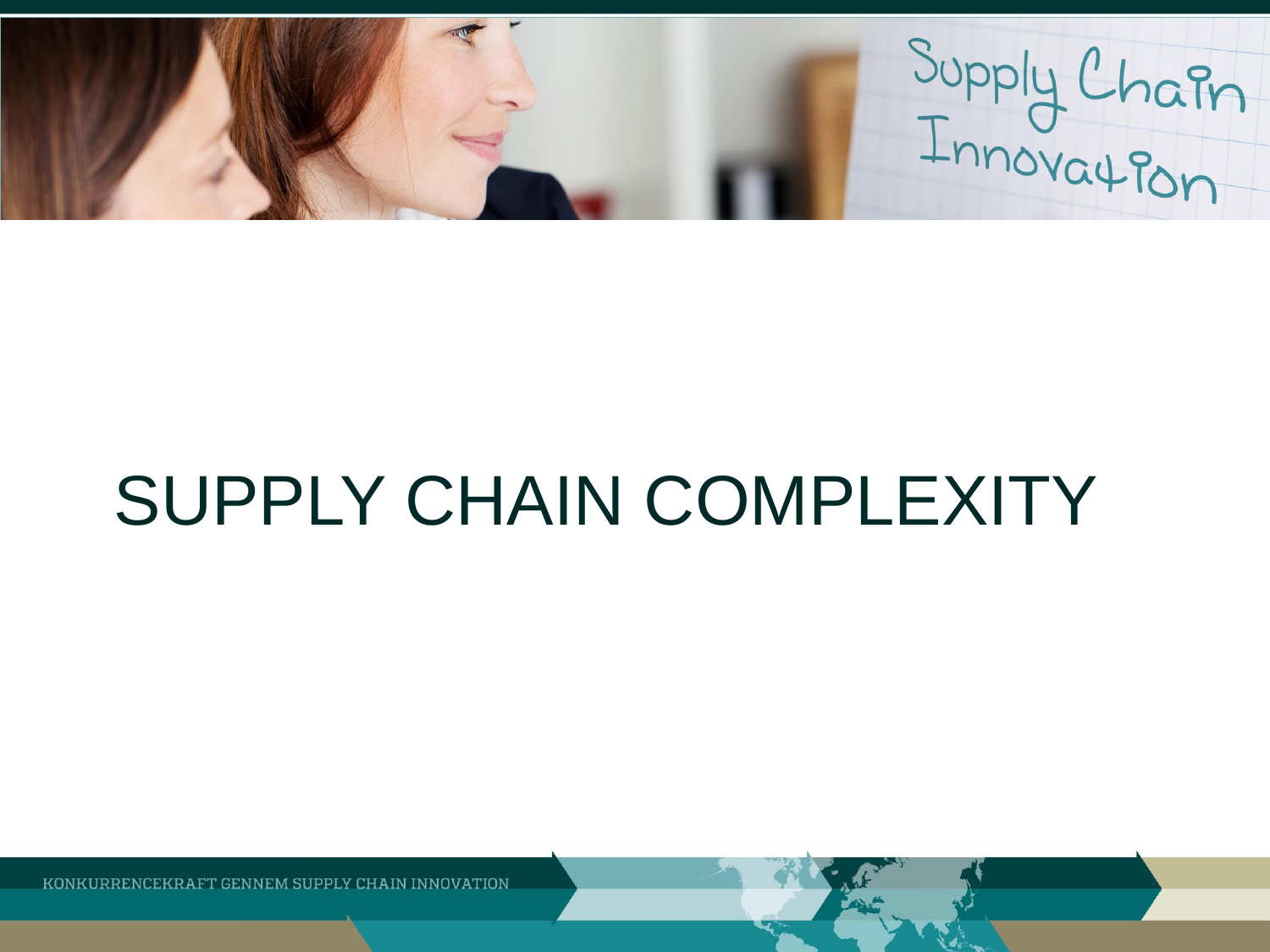Supply Chain

# SUPPLY CHAIN COMPLEXITY

KONKURRENCEKR AFT GENNEM SUPPLY CHAIN INNOVATION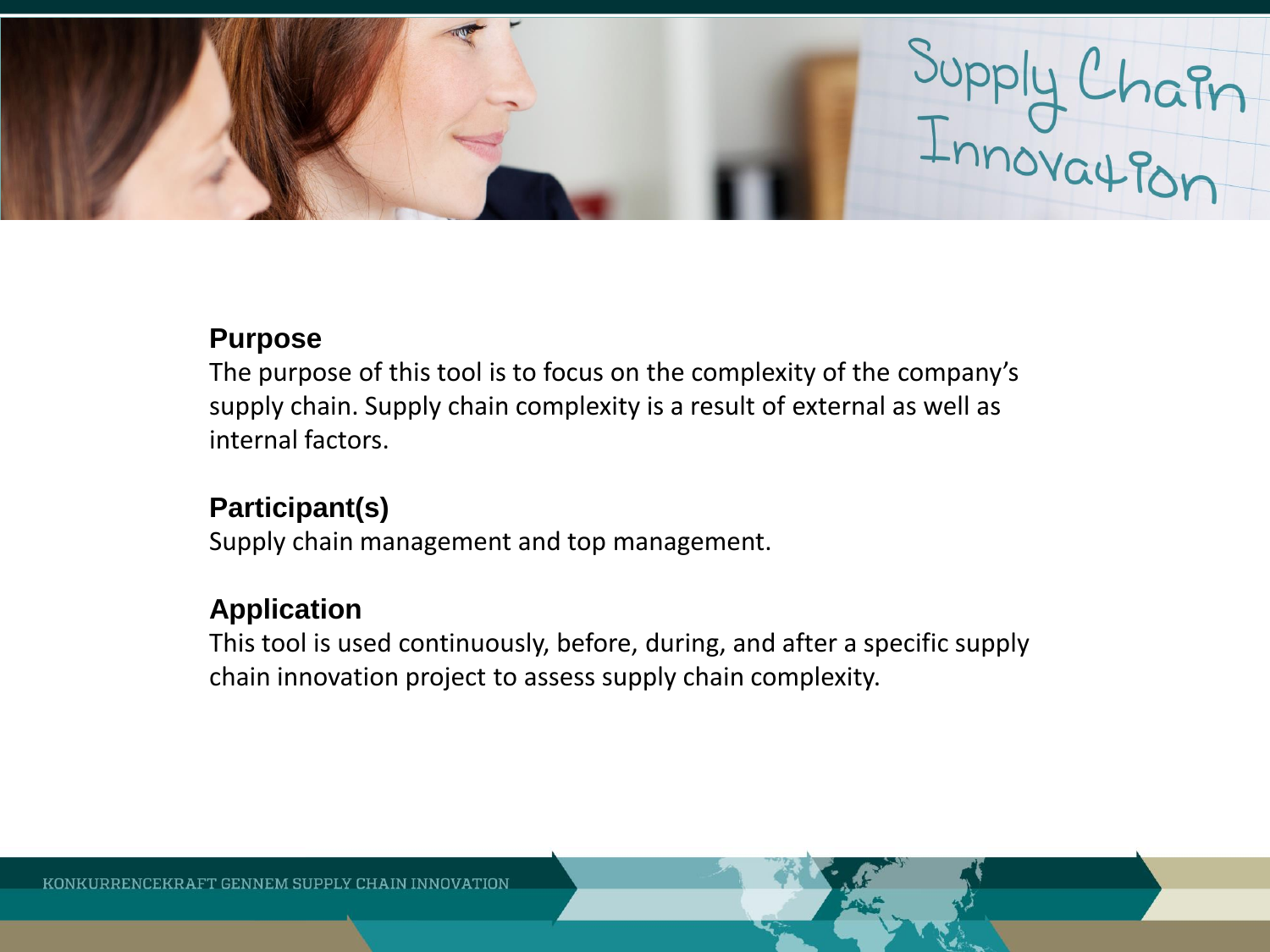

#### **Purpose**

The purpose of this tool is to focus on the complexity of the company's supply chain. Supply chain complexity is a result of external as well as internal factors.

# **Participant(s)**

Supply chain management and top management.

# **Application**

This tool is used continuously, before, during, and after a specific supply chain innovation project to assess supply chain complexity.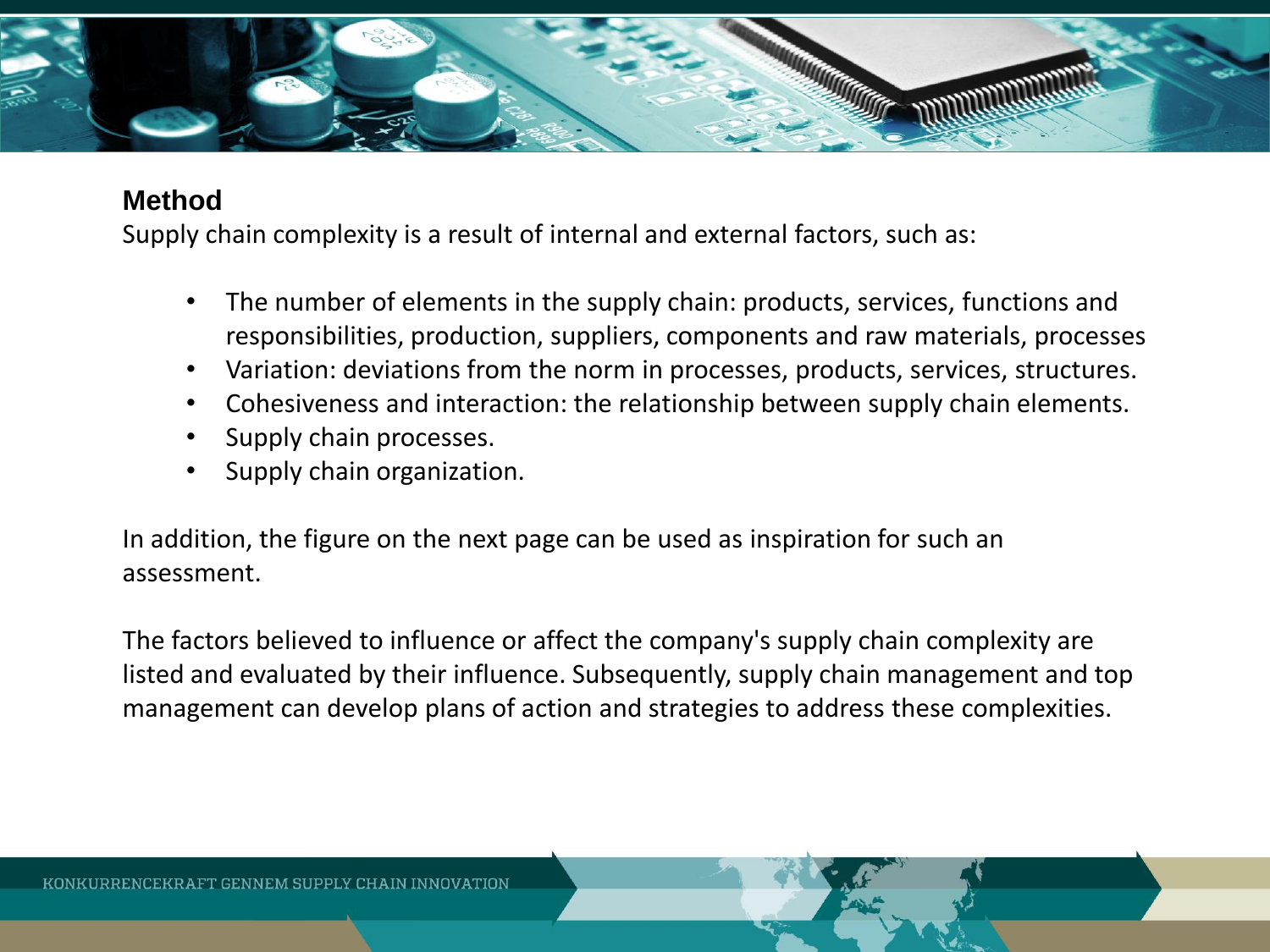

### **Method**

Supply chain complexity is a result of internal and external factors, such as:

- The number of elements in the supply chain: products, services, functions and responsibilities, production, suppliers, components and raw materials, processes
- Variation: deviations from the norm in processes, products, services, structures.
- Cohesiveness and interaction: the relationship between supply chain elements.
- Supply chain processes.
- Supply chain organization.

In addition, the figure on the next page can be used as inspiration for such an assessment.

The factors believed to influence or affect the company's supply chain complexity are listed and evaluated by their influence. Subsequently, supply chain management and top management can develop plans of action and strategies to address these complexities.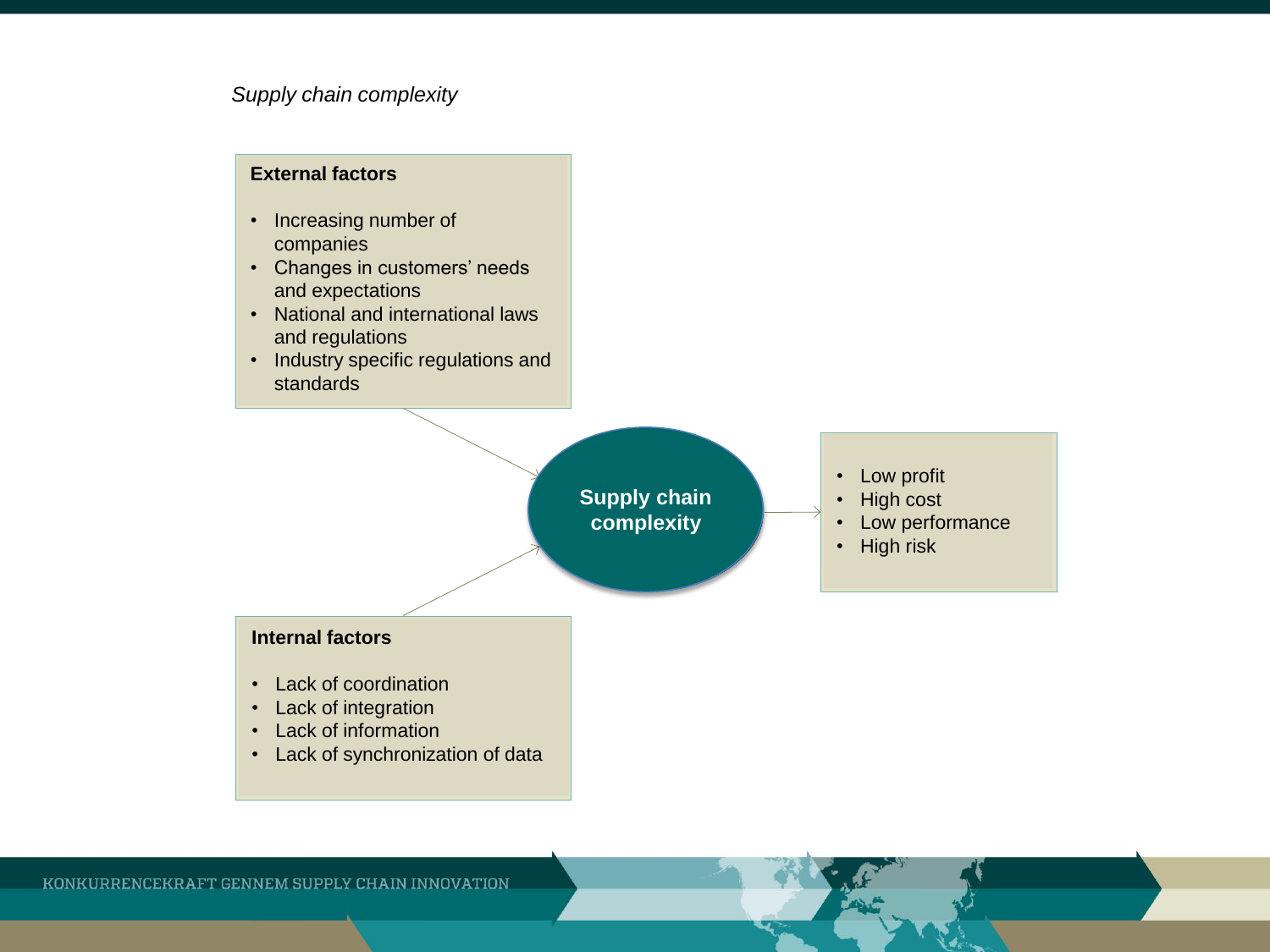#### *Supply chain complexity*